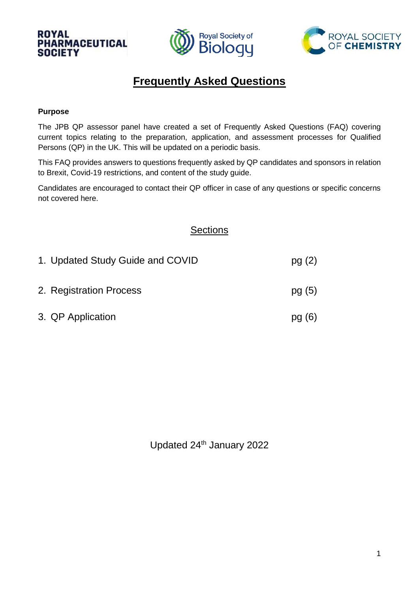



# **Frequently Asked Questions**

### **Purpose**

The JPB QP assessor panel have created a set of Frequently Asked Questions (FAQ) covering current topics relating to the preparation, application, and assessment processes for Qualified Persons (QP) in the UK. This will be updated on a periodic basis.

This FAQ provides answers to questions frequently asked by QP candidates and sponsors in relation to Brexit, Covid-19 restrictions, and content of the study guide.

Candidates are encouraged to contact their QP officer in case of any questions or specific concerns not covered here.

# **Sections**

| 1. Updated Study Guide and COVID | pg(2)  |
|----------------------------------|--------|
| 2. Registration Process          | pg(5)  |
| 3. QP Application                | pg (6) |

Updated 24<sup>th</sup> January 2022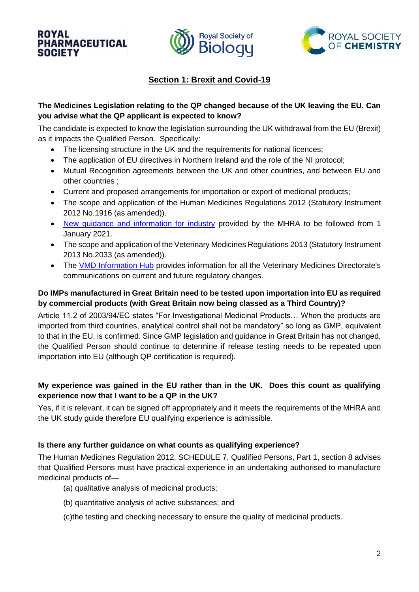



# **Section 1: Brexit and Covid-19**

# **The Medicines Legislation relating to the QP changed because of the UK leaving the EU. Can you advise what the QP applicant is expected to know?**

The candidate is expected to know the legislation surrounding the UK withdrawal from the EU (Brexit) as it impacts the Qualified Person. Specifically:

- The licensing structure in the UK and the requirements for national licences;
- The application of EU directives in Northern Ireland and the role of the NI protocol;
- Mutual Recognition agreements between the UK and other countries, and between EU and other countries ;
- Current and proposed arrangements for importation or export of medicinal products;
- The scope and application of the Human Medicines Regulations 2012 (Statutory Instrument 2012 No.1916 (as amended)).
- [New guidance and information for industry](https://www.gov.uk/government/collections/new-guidance-and-information-for-industry-from-the-mhra) provided by the MHRA to be followed from 1 January 2021.
- The scope and application of the Veterinary Medicines Regulations 2013 (Statutory Instrument 2013 No.2033 (as amended)).
- The [VMD Information Hub](https://www.gov.uk/guidance/vmd-information-hub#continued-recognition-of-mah-location-manufacturing-sites-and-authorised-personnel-until-january-2023) provides information for all the Veterinary Medicines Directorate's communications on current and future regulatory changes.

# **Do IMPs manufactured in Great Britain need to be tested upon importation into EU as required by commercial products (with Great Britain now being classed as a Third Country)?**

Article 11.2 of 2003/94/EC states "For Investigational Medicinal Products… When the products are imported from third countries, analytical control shall not be mandatory" so long as GMP, equivalent to that in the EU, is confirmed. Since GMP legislation and guidance in Great Britain has not changed, the Qualified Person should continue to determine if release testing needs to be repeated upon importation into EU (although QP certification is required).

# **My experience was gained in the EU rather than in the UK. Does this count as qualifying experience now that I want to be a QP in the UK?**

Yes, if it is relevant, it can be signed off appropriately and it meets the requirements of the MHRA and the UK study guide therefore EU qualifying experience is admissible.

# **Is there any further guidance on what counts as qualifying experience?**

The Human Medicines Regulation 2012, SCHEDULE 7, Qualified Persons, Part 1, section 8 advises that Qualified Persons must have practical experience in an undertaking authorised to manufacture medicinal products of—

- (a) qualitative analysis of medicinal products;
- (b) quantitative analysis of active substances; and

(c)the testing and checking necessary to ensure the quality of medicinal products.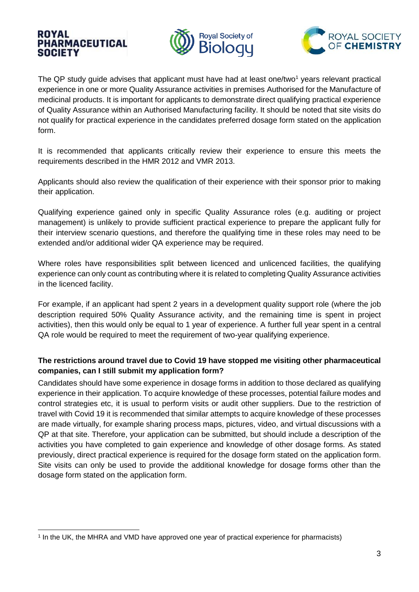



The QP study guide advises that applicant must have had at least one/two<sup>1</sup> years relevant practical experience in one or more Quality Assurance activities in premises Authorised for the Manufacture of medicinal products. It is important for applicants to demonstrate direct qualifying practical experience of Quality Assurance within an Authorised Manufacturing facility. It should be noted that site visits do not qualify for practical experience in the candidates preferred dosage form stated on the application form.

It is recommended that applicants critically review their experience to ensure this meets the requirements described in the HMR 2012 and VMR 2013.

Applicants should also review the qualification of their experience with their sponsor prior to making their application.

Qualifying experience gained only in specific Quality Assurance roles (e.g. auditing or project management) is unlikely to provide sufficient practical experience to prepare the applicant fully for their interview scenario questions, and therefore the qualifying time in these roles may need to be extended and/or additional wider QA experience may be required.

Where roles have responsibilities split between licenced and unlicenced facilities, the qualifying experience can only count as contributing where it is related to completing Quality Assurance activities in the licenced facility.

For example, if an applicant had spent 2 years in a development quality support role (where the job description required 50% Quality Assurance activity, and the remaining time is spent in project activities), then this would only be equal to 1 year of experience. A further full year spent in a central QA role would be required to meet the requirement of two-year qualifying experience.

## **The restrictions around travel due to Covid 19 have stopped me visiting other pharmaceutical companies, can I still submit my application form?**

Candidates should have some experience in dosage forms in addition to those declared as qualifying experience in their application. To acquire knowledge of these processes, potential failure modes and control strategies etc, it is usual to perform visits or audit other suppliers. Due to the restriction of travel with Covid 19 it is recommended that similar attempts to acquire knowledge of these processes are made virtually, for example sharing process maps, pictures, video, and virtual discussions with a QP at that site. Therefore, your application can be submitted, but should include a description of the activities you have completed to gain experience and knowledge of other dosage forms. As stated previously, direct practical experience is required for the dosage form stated on the application form. Site visits can only be used to provide the additional knowledge for dosage forms other than the dosage form stated on the application form.

<sup>-</sup>1 In the UK, the MHRA and VMD have approved one year of practical experience for pharmacists)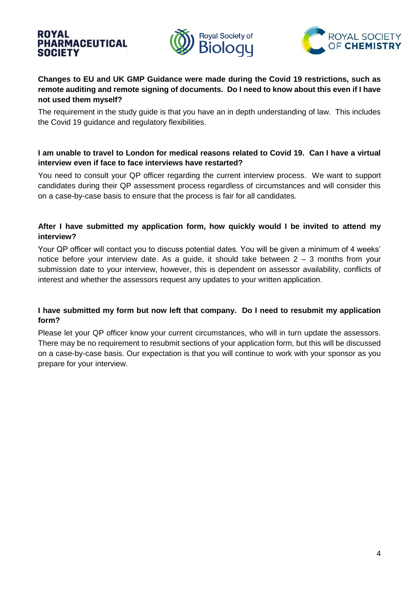



# **Changes to EU and UK GMP Guidance were made during the Covid 19 restrictions, such as remote auditing and remote signing of documents. Do I need to know about this even if I have not used them myself?**

The requirement in the study guide is that you have an in depth understanding of law. This includes the Covid 19 guidance and regulatory flexibilities.

### **I am unable to travel to London for medical reasons related to Covid 19. Can I have a virtual interview even if face to face interviews have restarted?**

You need to consult your QP officer regarding the current interview process. We want to support candidates during their QP assessment process regardless of circumstances and will consider this on a case-by-case basis to ensure that the process is fair for all candidates.

### **After I have submitted my application form, how quickly would I be invited to attend my interview?**

Your QP officer will contact you to discuss potential dates. You will be given a minimum of 4 weeks' notice before your interview date. As a quide, it should take between  $2 - 3$  months from your submission date to your interview, however, this is dependent on assessor availability, conflicts of interest and whether the assessors request any updates to your written application.

## **I have submitted my form but now left that company. Do I need to resubmit my application form?**

Please let your QP officer know your current circumstances, who will in turn update the assessors. There may be no requirement to resubmit sections of your application form, but this will be discussed on a case-by-case basis. Our expectation is that you will continue to work with your sponsor as you prepare for your interview.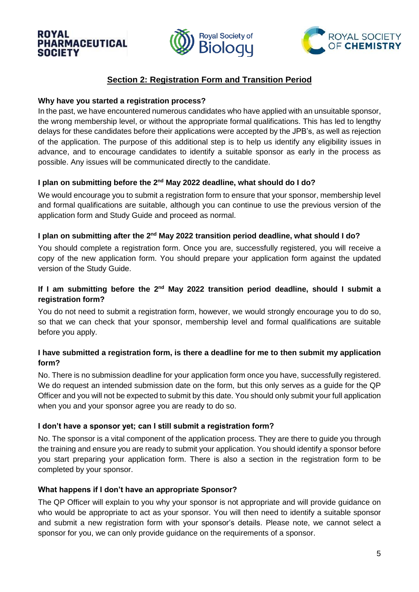



# **Section 2: Registration Form and Transition Period**

### **Why have you started a registration process?**

In the past, we have encountered numerous candidates who have applied with an unsuitable sponsor, the wrong membership level, or without the appropriate formal qualifications. This has led to lengthy delays for these candidates before their applications were accepted by the JPB's, as well as rejection of the application. The purpose of this additional step is to help us identify any eligibility issues in advance, and to encourage candidates to identify a suitable sponsor as early in the process as possible. Any issues will be communicated directly to the candidate.

### I plan on submitting before the 2<sup>nd</sup> May 2022 deadline, what should do I do?

We would encourage you to submit a registration form to ensure that your sponsor, membership level and formal qualifications are suitable, although you can continue to use the previous version of the application form and Study Guide and proceed as normal.

### I plan on submitting after the 2<sup>nd</sup> May 2022 transition period deadline, what should I do?

You should complete a registration form. Once you are, successfully registered, you will receive a copy of the new application form. You should prepare your application form against the updated version of the Study Guide.

# If I am submitting before the 2<sup>nd</sup> May 2022 transition period deadline, should I submit a **registration form?**

You do not need to submit a registration form, however, we would strongly encourage you to do so, so that we can check that your sponsor, membership level and formal qualifications are suitable before you apply.

## **I have submitted a registration form, is there a deadline for me to then submit my application form?**

No. There is no submission deadline for your application form once you have, successfully registered. We do request an intended submission date on the form, but this only serves as a guide for the QP Officer and you will not be expected to submit by this date. You should only submit your full application when you and your sponsor agree you are ready to do so.

## **I don't have a sponsor yet; can I still submit a registration form?**

No. The sponsor is a vital component of the application process. They are there to guide you through the training and ensure you are ready to submit your application. You should identify a sponsor before you start preparing your application form. There is also a section in the registration form to be completed by your sponsor.

## **What happens if I don't have an appropriate Sponsor?**

The QP Officer will explain to you why your sponsor is not appropriate and will provide guidance on who would be appropriate to act as your sponsor. You will then need to identify a suitable sponsor and submit a new registration form with your sponsor's details. Please note, we cannot select a sponsor for you, we can only provide guidance on the requirements of a sponsor.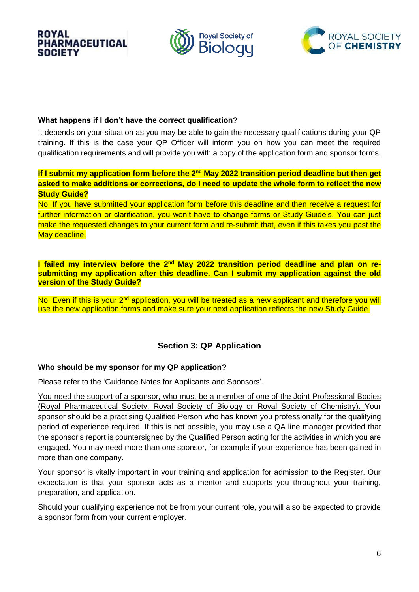



### **What happens if I don't have the correct qualification?**

It depends on your situation as you may be able to gain the necessary qualifications during your QP training. If this is the case your QP Officer will inform you on how you can meet the required qualification requirements and will provide you with a copy of the application form and sponsor forms.

# **If I submit my application form before the 2<sup>nd</sup> May 2022 transition period deadline but then get asked to make additions or corrections, do I need to update the whole form to reflect the new Study Guide?**

No. If you have submitted your application form before this deadline and then receive a request for further information or clarification, you won't have to change forms or Study Guide's. You can just make the requested changes to your current form and re-submit that, even if this takes you past the May deadline.

#### **I failed my interview before the 2<sup>nd</sup> May 2022 transition period deadline and plan on resubmitting my application after this deadline. Can I submit my application against the old version of the Study Guide?**

No. Even if this is your 2<sup>nd</sup> application, you will be treated as a new applicant and therefore you will use the new application forms and make sure your next application reflects the new Study Guide.

# **Section 3: QP Application**

## **Who should be my sponsor for my QP application?**

Please refer to the 'Guidance Notes for Applicants and Sponsors'.

You need the support of a sponsor, who must be a member of one of the Joint Professional Bodies (Royal Pharmaceutical Society, Royal Society of Biology or Royal Society of Chemistry). Your sponsor should be a practising Qualified Person who has known you professionally for the qualifying period of experience required. If this is not possible, you may use a QA line manager provided that the sponsor's report is countersigned by the Qualified Person acting for the activities in which you are engaged. You may need more than one sponsor, for example if your experience has been gained in more than one company.

Your sponsor is vitally important in your training and application for admission to the Register. Our expectation is that your sponsor acts as a mentor and supports you throughout your training, preparation, and application.

Should your qualifying experience not be from your current role, you will also be expected to provide a sponsor form from your current employer.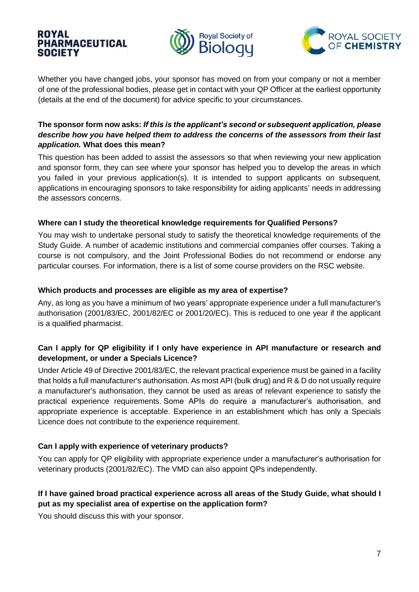



Whether you have changed jobs, your sponsor has moved on from your company or not a member of one of the professional bodies, please get in contact with your QP Officer at the earliest opportunity (details at the end of the document) for advice specific to your circumstances.

# **The sponsor form now asks:** *If this is the applicant's second or subsequent application, please describe how you have helped them to address the concerns of the assessors from their last application.* **What does this mean?**

This question has been added to assist the assessors so that when reviewing your new application and sponsor form, they can see where your sponsor has helped you to develop the areas in which you failed in your previous application(s). It is intended to support applicants on subsequent, applications in encouraging sponsors to take responsibility for aiding applicants' needs in addressing the assessors concerns.

### **Where can I study the theoretical knowledge requirements for Qualified Persons?**

You may wish to undertake personal study to satisfy the theoretical knowledge requirements of the Study Guide. A number of academic institutions and commercial companies offer courses. Taking a course is not compulsory, and the Joint Professional Bodies do not recommend or endorse any particular courses. For information, there is a list of some course providers on the RSC website.

### **Which products and processes are eligible as my area of expertise?**

Any, as long as you have a minimum of two years' appropriate experience under a full manufacturer's authorisation (2001/83/EC, 2001/82/EC or 2001/20/EC). This is reduced to one year if the applicant is a qualified pharmacist.

# **Can I apply for QP eligibility if I only have experience in API manufacture or research and development, or under a Specials Licence?**

Under Article 49 of Directive 2001/83/EC, the relevant practical experience must be gained in a facility that holds a full manufacturer's authorisation. As most API (bulk drug) and R & D do not usually require a manufacturer's authorisation, they cannot be used as areas of relevant experience to satisfy the practical experience requirements. Some APIs do require a manufacturer's authorisation, and appropriate experience is acceptable. Experience in an establishment which has only a Specials Licence does not contribute to the experience requirement.

## **Can I apply with experience of veterinary products?**

You can apply for QP eligibility with appropriate experience under a manufacturer's authorisation for veterinary products (2001/82/EC). The VMD can also appoint QPs independently.

# **If I have gained broad practical experience across all areas of the Study Guide, what should I put as my specialist area of expertise on the application form?**

You should discuss this with your sponsor.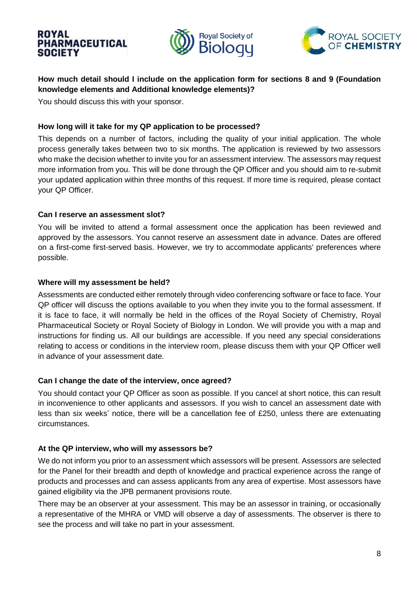



# **How much detail should I include on the application form for sections 8 and 9 (Foundation knowledge elements and Additional knowledge elements)?**

You should discuss this with your sponsor.

#### **How long will it take for my QP application to be processed?**

This depends on a number of factors, including the quality of your initial application. The whole process generally takes between two to six months. The application is reviewed by two assessors who make the decision whether to invite you for an assessment interview. The assessors may request more information from you. This will be done through the QP Officer and you should aim to re-submit your updated application within three months of this request. If more time is required, please contact your QP Officer.

#### **Can I reserve an assessment slot?**

You will be invited to attend a formal assessment once the application has been reviewed and approved by the assessors. You cannot reserve an assessment date in advance. Dates are offered on a first-come first-served basis. However, we try to accommodate applicants' preferences where possible.

#### **Where will my assessment be held?**

Assessments are conducted either remotely through video conferencing software or face to face. Your QP officer will discuss the options available to you when they invite you to the formal assessment. If it is face to face, it will normally be held in the offices of the Royal Society of Chemistry, Royal Pharmaceutical Society or Royal Society of Biology in London. We will provide you with a map and instructions for finding us. All our buildings are accessible. If you need any special considerations relating to access or conditions in the interview room, please discuss them with your QP Officer well in advance of your assessment date.

#### **Can I change the date of the interview, once agreed?**

You should contact your QP Officer as soon as possible. If you cancel at short notice, this can result in inconvenience to other applicants and assessors. If you wish to cancel an assessment date with less than six weeks' notice, there will be a cancellation fee of £250, unless there are extenuating circumstances.

## **At the QP interview, who will my assessors be?**

We do not inform you prior to an assessment which assessors will be present. Assessors are selected for the Panel for their breadth and depth of knowledge and practical experience across the range of products and processes and can assess applicants from any area of expertise. Most assessors have gained eligibility via the JPB permanent provisions route.

There may be an observer at your assessment. This may be an assessor in training, or occasionally a representative of the MHRA or VMD will observe a day of assessments. The observer is there to see the process and will take no part in your assessment.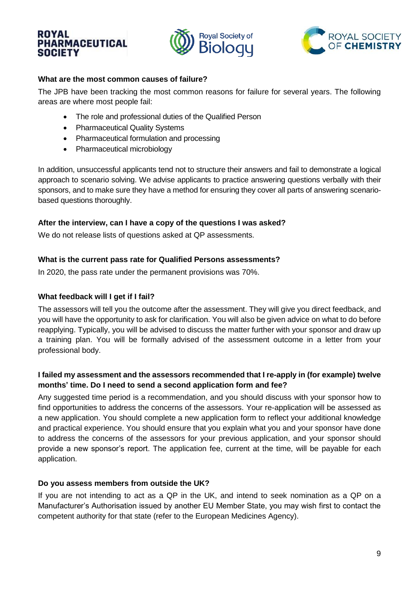



### **What are the most common causes of failure?**

The JPB have been tracking the most common reasons for failure for several years. The following areas are where most people fail:

- The role and professional duties of the Qualified Person
- Pharmaceutical Quality Systems
- Pharmaceutical formulation and processing
- Pharmaceutical microbiology

In addition, unsuccessful applicants tend not to structure their answers and fail to demonstrate a logical approach to scenario solving. We advise applicants to practice answering questions verbally with their sponsors, and to make sure they have a method for ensuring they cover all parts of answering scenariobased questions thoroughly.

### **After the interview, can I have a copy of the questions I was asked?**

We do not release lists of questions asked at QP assessments.

### **What is the current pass rate for Qualified Persons assessments?**

In 2020, the pass rate under the permanent provisions was 70%.

#### **What feedback will I get if I fail?**

The assessors will tell you the outcome after the assessment. They will give you direct feedback, and you will have the opportunity to ask for clarification. You will also be given advice on what to do before reapplying. Typically, you will be advised to discuss the matter further with your sponsor and draw up a training plan. You will be formally advised of the assessment outcome in a letter from your professional body.

## **I failed my assessment and the assessors recommended that I re-apply in (for example) twelve months' time. Do I need to send a second application form and fee?**

Any suggested time period is a recommendation, and you should discuss with your sponsor how to find opportunities to address the concerns of the assessors. Your re-application will be assessed as a new application. You should complete a new application form to reflect your additional knowledge and practical experience. You should ensure that you explain what you and your sponsor have done to address the concerns of the assessors for your previous application, and your sponsor should provide a new sponsor's report. The application fee, current at the time, will be payable for each application.

## **Do you assess members from outside the UK?**

If you are not intending to act as a QP in the UK, and intend to seek nomination as a QP on a Manufacturer's Authorisation issued by another EU Member State, you may wish first to contact the competent authority for that state (refer to the European Medicines Agency).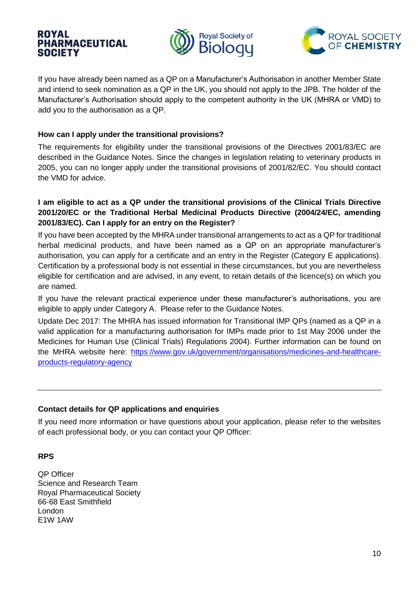



If you have already been named as a QP on a Manufacturer's Authorisation in another Member State and intend to seek nomination as a QP in the UK, you should not apply to the JPB. The holder of the Manufacturer's Authorisation should apply to the competent authority in the UK (MHRA or VMD) to add you to the authorisation as a QP.

### **How can I apply under the transitional provisions?**

The requirements for eligibility under the transitional provisions of the Directives 2001/83/EC are described in the Guidance Notes. Since the changes in legislation relating to veterinary products in 2005, you can no longer apply under the transitional provisions of 2001/82/EC. You should contact the VMD for advice.

## **I am eligible to act as a QP under the transitional provisions of the Clinical Trials Directive 2001/20/EC or the Traditional Herbal Medicinal Products Directive (2004/24/EC, amending 2001/83/EC). Can I apply for an entry on the Register?**

If you have been accepted by the MHRA under transitional arrangements to act as a QP for traditional herbal medicinal products, and have been named as a QP on an appropriate manufacturer's authorisation, you can apply for a certificate and an entry in the Register (Category E applications). Certification by a professional body is not essential in these circumstances, but you are nevertheless eligible for certification and are advised, in any event, to retain details of the licence(s) on which you are named.

If you have the relevant practical experience under these manufacturer's authorisations, you are eligible to apply under Category A. Please refer to the Guidance Notes.

Update Dec 2017: The MHRA has issued information for Transitional IMP QPs (named as a QP in a valid application for a manufacturing authorisation for IMPs made prior to 1st May 2006 under the Medicines for Human Use (Clinical Trials) Regulations 2004). Further information can be found on the MHRA website here: [https://www.gov.uk/government/organisations/medicines-and-healthcare](https://www.gov.uk/government/organisations/medicines-and-healthcare-products-regulatory-agency)[products-regulatory-agency](https://www.gov.uk/government/organisations/medicines-and-healthcare-products-regulatory-agency)

## **Contact details for QP applications and enquiries**

If you need more information or have questions about your application, please refer to the websites of each professional body, or you can contact your QP Officer:

## **RPS**

QP Officer Science and Research Team Royal Pharmaceutical Society 66-68 East Smithfield London E1W 1AW